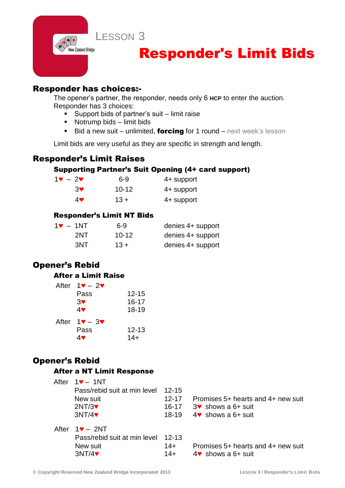LESSON 3

# Responder's Limit Bids

### Responder has choices:-

.<br>New Zealand Bridge

The opener's partner, the responder, needs only 6 **HCP** to enter the auction. Responder has 3 choices:

- Support bids of partner's suit limit raise
- Notrump bids limit bids
- Bid a new suit unlimited, forcing for 1 round next week's lesson

Limit bids are very useful as they are specific in strength and length.

## Responder's Limit Raises

#### Supporting Partner's Suit Opening (4+ card support)

| $1\mathbf{v} - 2\mathbf{v}$ | $6-9$     | 4+ support |
|-----------------------------|-----------|------------|
| <b>3V</b>                   | $10 - 12$ | 4+ support |
| 4♥                          | $13 +$    | 4+ support |

#### Responder's Limit NT Bids

| $1\bullet - 1NT$ | 6-9       | denies 4+ support |
|------------------|-----------|-------------------|
| 2NT              | $10 - 12$ | denies 4+ support |
| 3NT              | $13 +$    | denies 4+ support |

# Opener's Rebid

#### After a Limit Raise

| After $1\blacktriangledown - 2\blacktriangledown$ |           |
|---------------------------------------------------|-----------|
| Pass                                              | $12 - 15$ |
| 3 <sup>4</sup>                                    | $16 - 17$ |
| 4♥                                                | $18 - 19$ |
| After $1\blacktriangledown - 3\blacktriangledown$ |           |
| Pass                                              | $12 - 13$ |
| 4♥                                                | $14+$     |

# Opener's Rebid

#### After a NT Limit Response

| After | $1$ $\blacktriangledown$ – 1NT     |           |                                        |
|-------|------------------------------------|-----------|----------------------------------------|
|       | Pass/rebid suit at min level 12-15 |           |                                        |
|       | New suit                           | $12 - 17$ | Promises 5+ hearts and 4+ new suit     |
|       | 2NT/3                              | $16 - 17$ | $3\bullet$ shows a 6+ suit             |
|       | 3NT/4                              | 18-19     | $4$ ♥ shows a 6+ suit                  |
|       | After $1\blacktriangledown - 2NT$  |           |                                        |
|       | Pass/rebid suit at min level 12-13 |           |                                        |
|       | New suit                           | $14+$     | Promises 5+ hearts and 4+ new suit     |
|       | 3NT/4                              | $14+$     | $4\blacktriangleright$ shows a 6+ suit |